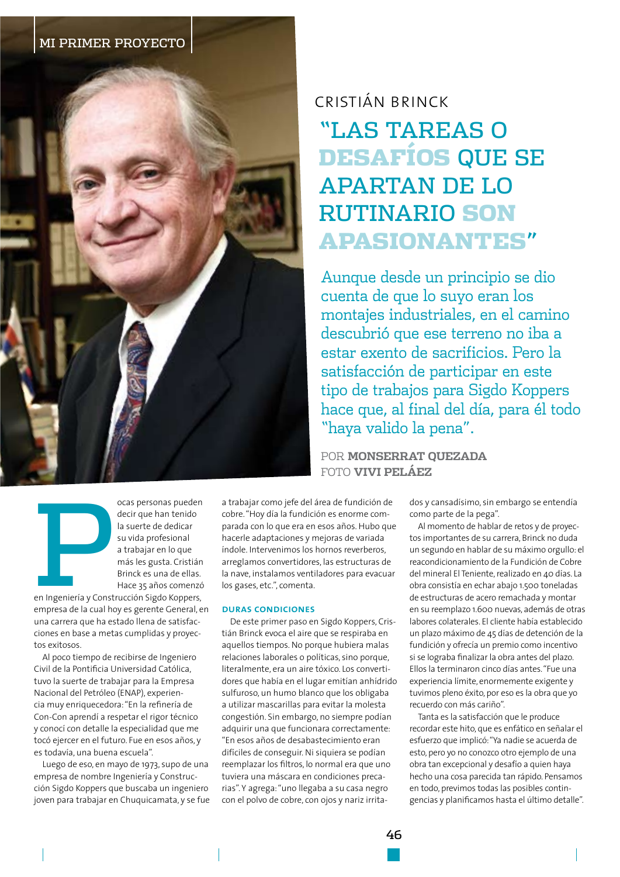

### ocas personas pueden decir que han tenido la suerte de dedicar su vida profesional a trabajar en lo que más les gusta. Cristián Brinck es una de ellas. Hace 35 años comenzó

en Ingeniería y Construcción Sigdo Koppers, empresa de la cual hoy es gerente General, en una carrera que ha estado llena de satisfacciones en base a metas cumplidas y proyectos exitosos.

Al poco tiempo de recibirse de Ingeniero Civil de la Pontificia Universidad Católica, tuvo la suerte de trabajar para la Empresa Nacional del Petróleo (ENAP), experiencia muy enriquecedora: "En la refinería de Con-Con aprendí a respetar el rigor técnico y conocí con detalle la especialidad que me tocó ejercer en el futuro. Fue en esos años, y es todavía, una buena escuela".

Luego de eso, en mayo de 1973, supo de una empresa de nombre Ingeniería y Construcción Sigdo Koppers que buscaba un ingeniero joven para trabajar en Chuquicamata, y se fue

a trabajar como jefe del área de fundición de cobre. "Hoy día la fundición es enorme comparada con lo que era en esos años. Hubo que hacerle adaptaciones y mejoras de variada índole. Intervenimos los hornos reverberos, arreglamos convertidores, las estructuras de la nave, instalamos ventiladores para evacuar los gases, etc.", comenta.

#### **DURAS CONDICIONES**

De este primer paso en Sigdo Koppers, Cristián Brinck evoca el aire que se respiraba en aquellos tiempos. No porque hubiera malas relaciones laborales o políticas, sino porque. literalmente, era un aire tóxico. Los convertidores que había en el lugar emitían anhídrido sulfuroso, un humo blanco que los obligaba a utilizar mascarillas para evitar la molesta congestión. Sin embargo, no siempre podían adquirir una que funcionara correctamente: "En esos años de desabastecimiento eran difíciles de conseguir. Ni siquiera se podían reemplazar los filtros, lo normal era que uno tuviera una máscara en condiciones precarias". Y agrega: "uno llegaba a su casa negro con el polvo de cobre, con ojos y nariz irrita-

# CRISTIÁN BRINCK **"LAS TAREAS O DESAFÍOS QUE SE APARTAN DE LO RUTINARIO SON APASIONANTES"**

Aunque desde un principio se dio cuenta de que lo suyo eran los montajes industriales, en el camino descubrió que ese terreno no iba a estar exento de sacrificios. Pero la satisfacción de participar en este tipo de trabajos para Sigdo Koppers hace que, al final del día, para él todo "haya valido la pena".

POR MONSERRAT OUEZADA FOTO VIVI PELÁEZ

> dos y cansadísimo, sin embargo se entendía como parte de la pega".

Al momento de hablar de retos y de proyectos importantes de su carrera, Brinck no duda un segundo en hablar de su máximo orgullo: el reacondicionamiento de la Fundición de Cobre del mineral El Teniente, realizado en 40 días. La obra consistía en echar abajo 1.500 toneladas de estructuras de acero remachada y montar en su reemplazo 1.600 nuevas, además de otras labores colaterales. El cliente había establecido un plazo máximo de 45 días de detención de la fundición y ofrecía un premio como incentivo si se lograba finalizar la obra antes del plazo. Ellos la terminaron cinco días antes. "Fue una experiencia límite, enormemente exigente y tuvimos pleno éxito, por eso es la obra que yo recuerdo con más cariño"

Tanta es la satisfacción que le produce recordar este hito, que es enfático en señalar el esfuerzo que implicó: "Ya nadie se acuerda de esto, pero yo no conozco otro ejemplo de una obra tan excepcional y desafío a quien haya hecho una cosa parecida tan rápido. Pensamos en todo, previmos todas las posibles contingencias y planificamos hasta el último detalle".